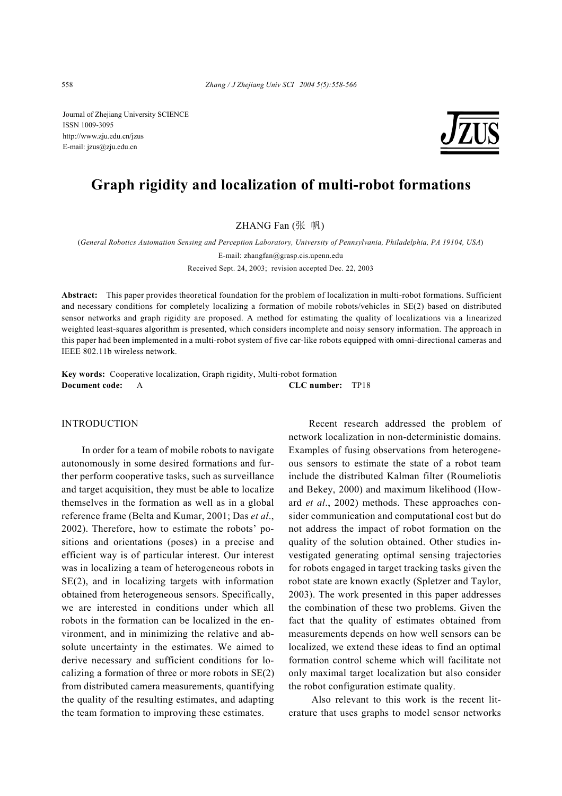Journal of Zhejiang University SCIENCE ISSN 1009-3095 http://www.zju.edu.cn/jzus E-mail: jzus@zju.edu.cn



# **Graph rigidity and localization of multi-robot formations**

ZHANG Fan (张 帆)

(*General Robotics Automation Sensing and Perception Laboratory, University of Pennsylvania, Philadelphia, PA 19104, USA*) E-mail: zhangfan@grasp.cis.upenn.edu

Received Sept. 24, 2003; revision accepted Dec. 22, 2003

**Abstract:** This paper provides theoretical foundation for the problem of localization in multi-robot formations. Sufficient and necessary conditions for completely localizing a formation of mobile robots/vehicles in SE(2) based on distributed sensor networks and graph rigidity are proposed. A method for estimating the quality of localizations via a linearized weighted least-squares algorithm is presented, which considers incomplete and noisy sensory information. The approach in this paper had been implemented in a multi-robot system of five car-like robots equipped with omni-directional cameras and IEEE 802.11b wireless network.

**Key words:** Cooperative localization, Graph rigidity, Multi-robot formation **Document code:** A **CLC number:** TP18

### INTRODUCTION

In order for a team of mobile robots to navigate autonomously in some desired formations and further perform cooperative tasks, such as surveillance and target acquisition, they must be able to localize themselves in the formation as well as in a global reference frame (Belta and Kumar, 2001; Das *et al*., 2002). Therefore, how to estimate the robots' positions and orientations (poses) in a precise and efficient way is of particular interest. Our interest was in localizing a team of heterogeneous robots in SE(2), and in localizing targets with information obtained from heterogeneous sensors. Specifically, we are interested in conditions under which all robots in the formation can be localized in the environment, and in minimizing the relative and absolute uncertainty in the estimates. We aimed to derive necessary and sufficient conditions for localizing a formation of three or more robots in SE(2) from distributed camera measurements, quantifying the quality of the resulting estimates, and adapting the team formation to improving these estimates.

Recent research addressed the problem of network localization in non-deterministic domains. Examples of fusing observations from heterogeneous sensors to estimate the state of a robot team include the distributed Kalman filter (Roumeliotis and Bekey, 2000) and maximum likelihood (Howard *et al*., 2002) methods. These approaches consider communication and computational cost but do not address the impact of robot formation on the quality of the solution obtained. Other studies investigated generating optimal sensing trajectories for robots engaged in target tracking tasks given the robot state are known exactly (Spletzer and Taylor, 2003). The work presented in this paper addresses the combination of these two problems. Given the fact that the quality of estimates obtained from measurements depends on how well sensors can be localized, we extend these ideas to find an optimal formation control scheme which will facilitate not only maximal target localization but also consider the robot configuration estimate quality.

 Also relevant to this work is the recent literature that uses graphs to model sensor networks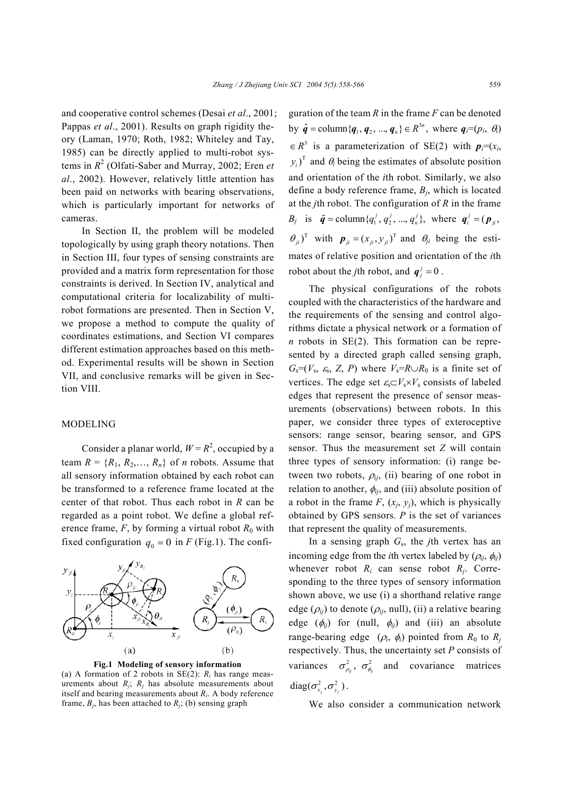and cooperative control schemes (Desai *et al*., 2001; Pappas *et al*., 2001). Results on graph rigidity theory (Laman, 1970; Roth, 1982; Whiteley and Tay, 1985) can be directly applied to multi-robot systems in  $R^2$  (Olfati-Saber and Murray, 2002; Eren *et al*., 2002). However, relatively little attention has been paid on networks with bearing observations, which is particularly important for networks of cameras.

In Section II, the problem will be modeled topologically by using graph theory notations. Then in Section III, four types of sensing constraints are provided and a matrix form representation for those constraints is derived. In Section IV, analytical and computational criteria for localizability of multirobot formations are presented. Then in Section V, we propose a method to compute the quality of coordinates estimations, and Section VI compares different estimation approaches based on this method. Experimental results will be shown in Section VII, and conclusive remarks will be given in Section VIII.

#### MODELING

Consider a planar world,  $W = R^2$ , occupied by a team  $R = \{R_1, R_2, \ldots, R_n\}$  of *n* robots. Assume that all sensory information obtained by each robot can be transformed to a reference frame located at the center of that robot. Thus each robot in *R* can be regarded as a point robot. We define a global reference frame,  $F$ , by forming a virtual robot  $R_0$  with fixed configuration  $q_0 = 0$  in *F* (Fig.1). The confi-





(a) A formation of 2 robots in  $SE(2)$ :  $R_i$  has range measurements about  $R_i$ ;  $R_i$  has absolute measurements about itself and bearing measurements about *Ri*. A body reference frame,  $B_i$ , has been attached to  $R_i$ ; (b) sensing graph

guration of the team *R* in the frame *F* can be denoted by  $\hat{q} = \text{column}\{q_1, q_2, ..., q_n\} \in R^{3n}$ , where  $q_i = (p_i, \theta_i)$  $\in R^3$  is a parameterization of SE(2) with  $p_i=(x_i,$  $(y_i)^T$  and  $\theta_i$  being the estimates of absolute position and orientation of the *i*th robot. Similarly, we also define a body reference frame, *Bj*, which is located at the *j*th robot. The configuration of *R* in the frame *B<sub>j</sub>* is  $\tilde{q} = \text{column}\{q_1^j, q_2^j, ..., q_n^j\}$ , where  $q_i^j = (p_{ii},$  $(\theta_{ji})^{\text{T}}$  with  $\mathbf{p}_{ji} = (x_{ji}, y_{ji})^{\text{T}}$  and  $\theta_{ji}$  being the estimates of relative position and orientation of the *i*th robot about the *j*th robot, and  $q_i^j = 0$ .

The physical configurations of the robots coupled with the characteristics of the hardware and the requirements of the sensing and control algorithms dictate a physical network or a formation of *n* robots in SE(2). This formation can be represented by a directed graph called sensing graph,  $G_s = (V_s, \varepsilon_s, Z, P)$  where  $V_s = R \cup R_0$  is a finite set of vertices. The edge set  $\varepsilon_s \subset V_s \times V_s$  consists of labeled edges that represent the presence of sensor measurements (observations) between robots. In this paper, we consider three types of exteroceptive sensors: range sensor, bearing sensor, and GPS sensor. Thus the measurement set *Z* will contain three types of sensory information: (i) range between two robots,  $\rho_{ij}$ , (ii) bearing of one robot in relation to another,  $\phi_{ij}$ , and (iii) absolute position of a robot in the frame  $F$ ,  $(x_i, y_i)$ , which is physically obtained by GPS sensors. *P* is the set of variances that represent the quality of measurements.

In a sensing graph *G*s, the *j*th vertex has an incoming edge from the *i*th vertex labeled by  $(\rho_{ii}, \phi_{ii})$ whenever robot  $R_i$  can sense robot  $R_j$ . Corresponding to the three types of sensory information shown above, we use (i) a shorthand relative range edge  $(\rho_{ij})$  to denote  $(\rho_{ij}, \text{null})$ , (ii) a relative bearing edge  $(\phi_{ij})$  for (null,  $\phi_{ij}$ ) and (iii) an absolute range-bearing edge  $(\rho_i, \phi_i)$  pointed from  $R_0$  to  $R_i$ respectively. Thus, the uncertainty set *P* consists of variances  $\sigma_{\rho_{\alpha}}^2$ ,  $\sigma_{\phi_{\alpha}}^2$  and covariance matrices  $diag(\sigma_{x_i}^2, \sigma_{y_i}^2)$ .

We also consider a communication network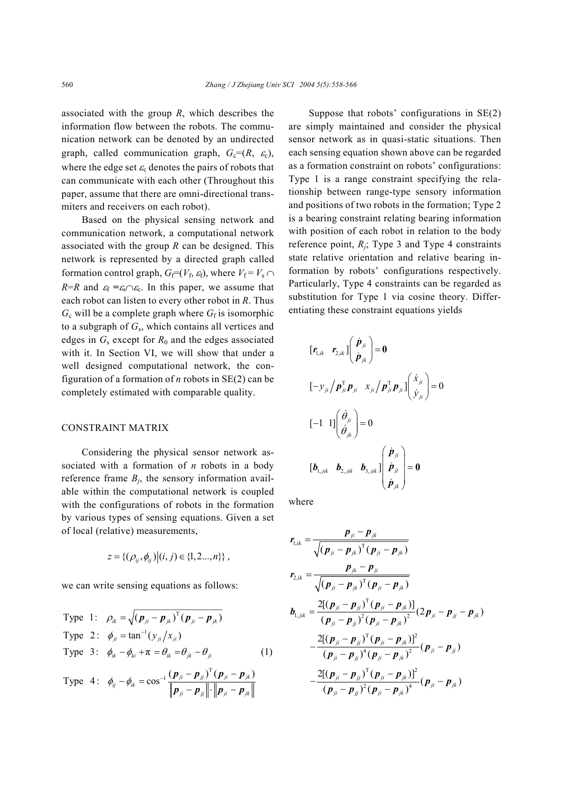associated with the group *R*, which describes the information flow between the robots. The communication network can be denoted by an undirected graph, called communication graph,  $G_c=(R, \varepsilon_c)$ , where the edge set  $\varepsilon_c$  denotes the pairs of robots that can communicate with each other (Throughout this paper, assume that there are omni-directional transmiters and receivers on each robot).

Based on the physical sensing network and communication network, a computational network associated with the group *R* can be designed. This network is represented by a directed graph called formation control graph,  $G_f=(V_f, \varepsilon_f)$ , where  $V_f = V_s \cap$ *R*=*R* and  $\varepsilon_f = \varepsilon_s \Omega \varepsilon_c$ . In this paper, we assume that each robot can listen to every other robot in *R*. Thus  $G_c$  will be a complete graph where  $G_f$  is isomorphic to a subgraph of *G*s, which contains all vertices and edges in  $G_s$  except for  $R_0$  and the edges associated with it. In Section VI, we will show that under a well designed computational network, the configuration of a formation of *n* robots in SE(2) can be completely estimated with comparable quality.

# CONSTRAINT MATRIX

Considering the physical sensor network associated with a formation of *n* robots in a body reference frame  $B_j$ , the sensory information available within the computational network is coupled with the configurations of robots in the formation by various types of sensing equations. Given a set of local (relative) measurements,

$$
z = \{ (\rho_{ij}, \phi_{ij}) | (i, j) \in \{1, 2, ..., n\} \},
$$

we can write sensing equations as follows:

Type 1: 
$$
\rho_{ik} = \sqrt{(\boldsymbol{p}_{ji} - \boldsymbol{p}_{jk})^{\mathrm{T}} (\boldsymbol{p}_{ji} - \boldsymbol{p}_{jk})}
$$
  
Type 2: 
$$
\phi_{ji} = \tan^{-1}(y_{ji}/x_{ji})
$$
  
Type 3: 
$$
\phi_{ik} - \phi_{ki} + \pi = \theta_{ik} = \theta_{jk} - \theta_{ji}
$$
 (1)

Type 4: 
$$
\phi_{ij} - \phi_{ik} = \cos^{-1} \frac{(\boldsymbol{p}_{ji} - \boldsymbol{p}_{jj})^{\mathrm{T}} (\boldsymbol{p}_{ji} - \boldsymbol{p}_{jk})}{\|\boldsymbol{p}_{ji} - \boldsymbol{p}_{jj}\| \cdot \|\boldsymbol{p}_{ji} - \boldsymbol{p}_{jk}\|}
$$

Suppose that robots' configurations in SE(2) are simply maintained and consider the physical sensor network as in quasi-static situations. Then each sensing equation shown above can be regarded as a formation constraint on robots' configurations: Type 1 is a range constraint specifying the relationship between range-type sensory information and positions of two robots in the formation; Type 2 is a bearing constraint relating bearing information with position of each robot in relation to the body reference point,  $R_i$ ; Type 3 and Type 4 constraints state relative orientation and relative bearing information by robots' configurations respectively. Particularly, Type 4 constraints can be regarded as substitution for Type 1 via cosine theory. Differentiating these constraint equations yields

$$
\begin{aligned}\n\left[\mathbf{r}_{1,ik} \quad \mathbf{r}_{2,ik}\right] \left(\begin{array}{c} \dot{\mathbf{p}}_{ji} \\ \dot{\mathbf{p}}_{jk} \end{array}\right] &= \mathbf{0} \\
\left[-\mathcal{Y}_{ji} \middle/ \mathbf{p}_{ji}^{\mathrm{T}} \mathbf{p}_{ji} \quad \mathbf{x}_{ji} \middle/ \mathbf{p}_{ji}^{\mathrm{T}} \mathbf{p}_{ji}\right] \left(\begin{array}{c} \dot{\mathbf{x}}_{ji} \\ \dot{\mathbf{y}}_{ji} \end{array}\right) &= \mathbf{0} \\
\left[-1 \quad 1\right] \left(\begin{array}{c} \dot{\theta}_{ji} \\ \dot{\theta}_{jk} \end{array}\right) &= \mathbf{0} \\
\left[\mathbf{b}_{1, jik} \quad \mathbf{b}_{2, jik} \quad \mathbf{b}_{3, jik}\right] \left(\begin{array}{c} \dot{\mathbf{p}}_{ji} \\ \dot{\mathbf{p}}_{ji} \\ \dot{\mathbf{p}}_{jk} \end{array}\right) &= \mathbf{0}\n\end{aligned}
$$

where

$$
r_{1,ik} = \frac{p_{ji} - p_{jk}}{\sqrt{(p_{ji} - p_{jk})^T (p_{ji} - p_{jk})}}
$$
  
\n
$$
r_{2,ik} = \frac{p_{jk} - p_{ji}}{\sqrt{(p_{ji} - p_{jk})^T (p_{ji} - p_{jk})}}
$$
  
\n
$$
b_{1,jik} = \frac{2[(p_{ji} - p_{jj})^T (p_{ji} - p_{jk})]}{(p_{ji} - p_{jj})^2 (p_{ji} - p_{jk})^2} (2p_{ji} - p_{jj} - p_{jk})
$$
  
\n
$$
-\frac{2[(p_{ji} - p_{jj})^T (p_{ji} - p_{jk})]^2}{(p_{ji} - p_{jj})^4 (p_{ji} - p_{jk})^2} (p_{ji} - p_{jj})
$$
  
\n
$$
-\frac{2[(p_{ji} - p_{jj})^T (p_{ji} - p_{jk})]^2}{(p_{ji} - p_{jj})^2 (p_{ji} - p_{jk})^4} (p_{ji} - p_{jk})
$$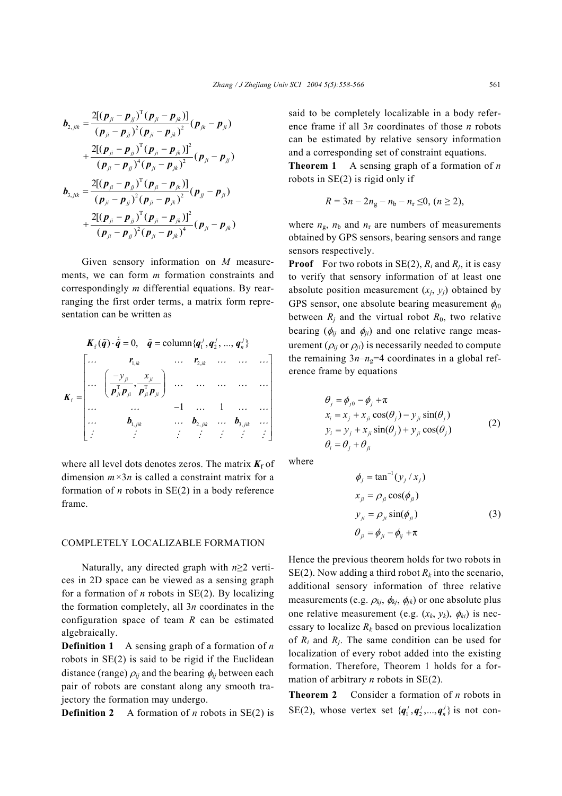$$
b_{2,jik} = \frac{2[(p_{ji} - p_{jj})^{\mathrm{T}}(p_{ji} - p_{jk})]}{(p_{ji} - p_{jj})^2(p_{ji} - p_{jk})^2}(p_{jk} - p_{ji})
$$
  
+ 
$$
\frac{2[(p_{ji} - p_{jj})^{\mathrm{T}}(p_{ji} - p_{jk})]^2}{(p_{ji} - p_{jj})^4(p_{ji} - p_{jk})^2}(p_{ji} - p_{jj})
$$
  

$$
b_{3,jik} = \frac{2[(p_{ji} - p_{jj})^{\mathrm{T}}(p_{ji} - p_{jk})]}{(p_{ji} - p_{jj})^2(p_{ji} - p_{jk})^2}(p_{jj} - p_{ji})
$$
  
+ 
$$
\frac{2[(p_{ji} - p_{jj})^{\mathrm{T}}(p_{ji} - p_{jk})]^2}{(p_{ji} - p_{jj})^2(p_{ji} - p_{jk})^4}(p_{ji} - p_{jk})
$$

Given sensory information on *M* measurements, we can form *m* formation constraints and correspondingly *m* differential equations. By rearranging the first order terms, a matrix form representation can be written as

$$
\boldsymbol{K}_{\mathrm{f}}\left(\tilde{\boldsymbol{q}}\right)\cdot\tilde{\boldsymbol{q}}=0, \quad \tilde{\boldsymbol{q}}=\mathrm{column}\{\boldsymbol{q}_{1}^{j},\boldsymbol{q}_{2}^{j},...,\boldsymbol{q}_{n}^{j}\}
$$
\n
$$
\boldsymbol{K}_{\mathrm{f}}=\begin{bmatrix}\n\cdots & r_{1,ik} & \cdots & r_{2,ik} & \cdots & \cdots & \cdots \\
\cdots & \left(\frac{-\mathbf{y}_{ji}}{\boldsymbol{p}_{ji}^{\mathrm{T}}\boldsymbol{p}_{ji}}, \frac{\mathbf{x}_{ji}}{\boldsymbol{p}_{ji}^{\mathrm{T}}\boldsymbol{p}_{ji}}\right) & \cdots & \cdots & \cdots & \cdots \\
\cdots & \cdots & \cdots & \cdots & \cdots & \cdots \\
\cdots & \cdots & \cdots & \cdots & 1 & \cdots & \cdots \\
\cdots & \boldsymbol{b}_{1, jik} & \cdots & \boldsymbol{b}_{2, jik} & \cdots & \boldsymbol{b}_{3, jik} & \cdots \\
\vdots & \vdots & \vdots & \vdots & \vdots & \vdots\n\end{bmatrix}
$$

where all level dots denotes zeros. The matrix  $K_f$  of dimension *m×*3*n* is called a constraint matrix for a formation of *n* robots in SE(2) in a body reference frame.

# COMPLETELY LOCALIZABLE FORMATION

Naturally, any directed graph with *n*≥2 vertices in 2D space can be viewed as a sensing graph for a formation of  $n$  robots in  $SE(2)$ . By localizing the formation completely, all 3*n* coordinates in the configuration space of team *R* can be estimated algebraically.

**Definition 1** A sensing graph of a formation of *n* robots in SE(2) is said to be rigid if the Euclidean distance (range)  $\rho_{ij}$  and the bearing  $\phi_{ij}$  between each pair of robots are constant along any smooth trajectory the formation may undergo.

**Definition 2** A formation of *n* robots in SE(2) is

said to be completely localizable in a body reference frame if all 3*n* coordinates of those *n* robots can be estimated by relative sensory information and a corresponding set of constraint equations.

**Theorem 1** A sensing graph of a formation of *n* robots in SE(2) is rigid only if

$$
R=3n-2n_{\rm g}-n_{\rm b}-n_{\rm r}\leq 0, (n\geq 2),
$$

where  $n_{\rm g}$ ,  $n_{\rm b}$  and  $n_{\rm r}$  are numbers of measurements obtained by GPS sensors, bearing sensors and range sensors respectively.

**Proof** For two robots in SE(2),  $R_i$  and  $R_i$ , it is easy to verify that sensory information of at least one absolute position measurement  $(x_i, y_j)$  obtained by GPS sensor, one absolute bearing measurement  $\phi_{i0}$ between  $R_j$  and the virtual robot  $R_0$ , two relative bearing ( $\phi_{ij}$  and  $\phi_{ji}$ ) and one relative range measurement  $(\rho_{ij}$  or  $\rho_{ji})$  is necessarily needed to compute the remaining  $3n-n<sub>g</sub>=4$  coordinates in a global reference frame by equations

$$
\theta_j = \phi_{j0} - \phi_j + \pi
$$
  
\n
$$
x_i = x_j + x_{ji} \cos(\theta_j) - y_{ji} \sin(\theta_j)
$$
  
\n
$$
y_i = y_j + x_{ji} \sin(\theta_j) + y_{ji} \cos(\theta_j)
$$
  
\n
$$
\theta_i = \theta_j + \theta_{ji}
$$
\n(2)

where

$$
\phi_j = \tan^{-1}(y_j / x_j)
$$
  
\n
$$
x_{ji} = \rho_{ji} \cos(\phi_{ji})
$$
  
\n
$$
y_{ji} = \rho_{ji} \sin(\phi_{ji})
$$
  
\n
$$
\theta_{ji} = \phi_{ji} - \phi_{ij} + \pi
$$
\n(3)

Hence the previous theorem holds for two robots in SE(2). Now adding a third robot  $R_k$  into the scenario, additional sensory information of three relative measurements (e.g.  $\rho_{kj}$ ,  $\phi_{kj}$ ,  $\phi_{jk}$ ) or one absolute plus one relative measurement (e.g.  $(x_k, y_k)$ ,  $\phi_{ki}$ ) is necessary to localize  $R_k$  based on previous localization of  $R_i$  and  $R_j$ . The same condition can be used for localization of every robot added into the existing formation. Therefore, Theorem 1 holds for a formation of arbitrary *n* robots in SE(2).

**Theorem 2** Consider a formation of *n* robots in SE(2), whose vertex set  $\{q_1^j, q_2^j, ..., q_n^j\}$  is not con-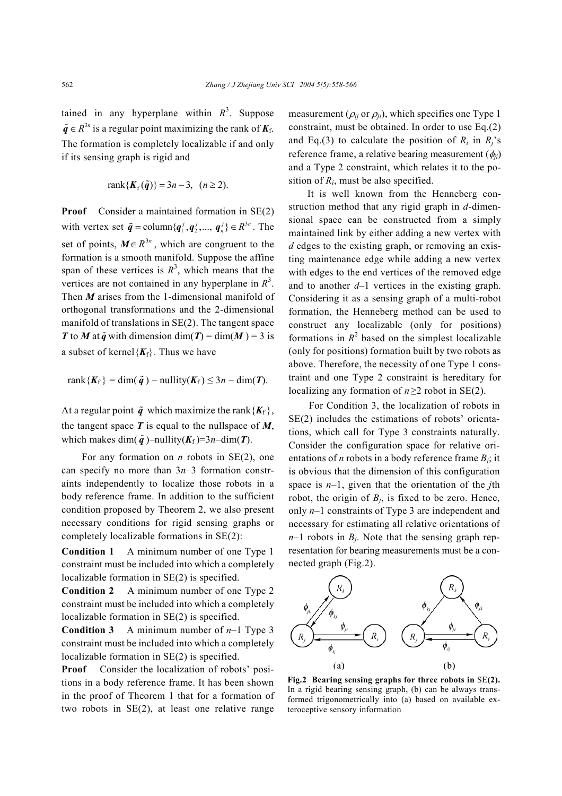tained in any hyperplane within  $R^3$ . Suppose  $\tilde{q} \in R^{3n}$  is a regular point maximizing the rank of  $K_f$ . The formation is completely localizable if and only if its sensing graph is rigid and

$$
rank{Kf(\tilde{q})} = 3n - 3, (n \ge 2).
$$

**Proof** Consider a maintained formation in SE(2) with vertex set  $\tilde{\boldsymbol{q}} = \text{column}\{\boldsymbol{q}_1^j, \boldsymbol{q}_2^j, ..., \boldsymbol{q}_n^j\} \in \mathbb{R}^{3n}$ . The set of points,  $M \in \mathbb{R}^{3n}$ , which are congruent to the formation is a smooth manifold. Suppose the affine span of these vertices is  $R<sup>3</sup>$ , which means that the vertices are not contained in any hyperplane in  $R<sup>3</sup>$ . Then *M* arises from the 1-dimensional manifold of orthogonal transformations and the 2-dimensional manifold of translations in SE(2). The tangent space *T* to *M* at  $\tilde{q}$  with dimension dim(*T*) = dim(*M*) = 3 is a subset of kernel ${K_f}$ . Thus we have

$$
rank{K_f} = dim(\tilde{q}) - nullity(K_f) \leq 3n - dim(T).
$$

At a regular point  $\tilde{q}$  which maximize the rank { $K_f$  }, the tangent space *T* is equal to the nullspace of *M*, which makes dim( $\tilde{q}$ )–nullity( $K_f$ )=3*n*–dim(*T*).

For any formation on *n* robots in SE(2), one can specify no more than 3*n–*3 formation constraints independently to localize those robots in a body reference frame. In addition to the sufficient condition proposed by Theorem 2, we also present necessary conditions for rigid sensing graphs or completely localizable formations in SE(2):

**Condition 1** A minimum number of one Type 1 constraint must be included into which a completely localizable formation in SE(2) is specified.

**Condition 2** A minimum number of one Type 2 constraint must be included into which a completely localizable formation in SE(2) is specified.

**Condition 3** A minimum number of *n*–1 Type 3 constraint must be included into which a completely localizable formation in SE(2) is specified.

**Proof** Consider the localization of robots' positions in a body reference frame. It has been shown in the proof of Theorem 1 that for a formation of two robots in SE(2), at least one relative range measurement ( $\rho_{ij}$  or  $\rho_{ji}$ ), which specifies one Type 1 constraint, must be obtained. In order to use Eq.(2) and Eq.(3) to calculate the position of  $R_i$  in  $R_i$ 's reference frame, a relative bearing measurement (φ*ji*) and a Type 2 constraint, which relates it to the position of *Ri*, must be also specified.

It is well known from the Henneberg construction method that any rigid graph in *d*-dimensional space can be constructed from a simply maintained link by either adding a new vertex with *d* edges to the existing graph, or removing an existing maintenance edge while adding a new vertex with edges to the end vertices of the removed edge and to another *d*–1 vertices in the existing graph. Considering it as a sensing graph of a multi-robot formation, the Henneberg method can be used to construct any localizable (only for positions) formations in  $R^2$  based on the simplest localizable (only for positions) formation built by two robots as above. Therefore, the necessity of one Type 1 constraint and one Type 2 constraint is hereditary for localizing any formation of  $n \ge 2$  robot in SE(2).

For Condition 3, the localization of robots in SE(2) includes the estimations of robots' orientations, which call for Type 3 constraints naturally. Consider the configuration space for relative orientations of *n* robots in a body reference frame  $B_i$ ; it is obvious that the dimension of this configuration space is *n*–1, given that the orientation of the *j*th robot, the origin of  $B_i$ , is fixed to be zero. Hence, only *n*–1 constraints of Type 3 are independent and necessary for estimating all relative orientations of  $n-1$  robots in  $B_i$ . Note that the sensing graph representation for bearing measurements must be a connected graph (Fig.2).



**Fig.2 Bearing sensing graphs for three robots in** SE**(2).** In a rigid bearing sensing graph, (b) can be always transformed trigonometrically into (a) based on available exteroceptive sensory information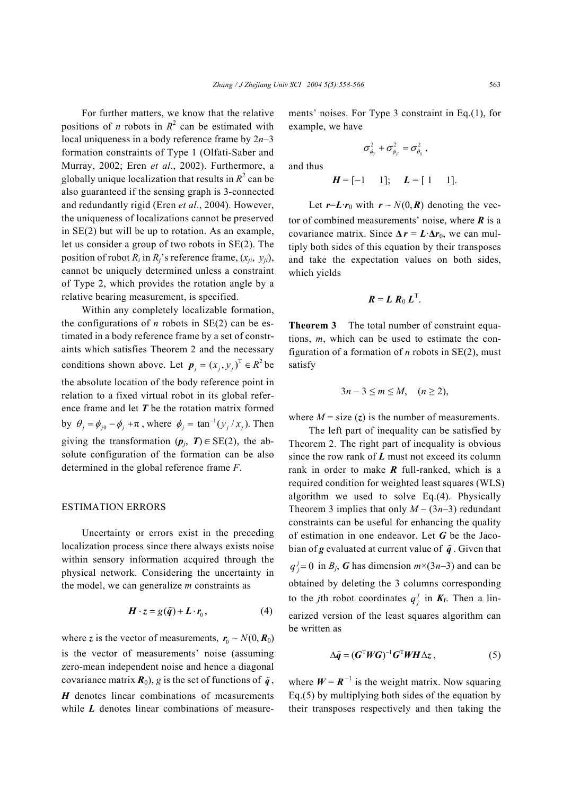For further matters, we know that the relative positions of *n* robots in  $R^2$  can be estimated with local uniqueness in a body reference frame by 2*n*–3 formation constraints of Type 1 (Olfati-Saber and Murray, 2002; Eren *et al*., 2002). Furthermore, a globally unique localization that results in  $R^2$  can be also guaranteed if the sensing graph is 3-connected and redundantly rigid (Eren *et al*., 2004). However, the uniqueness of localizations cannot be preserved in SE(2) but will be up to rotation. As an example, let us consider a group of two robots in SE(2). The position of robot  $R_i$  in  $R_i$ 's reference frame,  $(x_{ii}, y_{ii})$ , cannot be uniquely determined unless a constraint of Type 2, which provides the rotation angle by a relative bearing measurement, is specified.

Within any completely localizable formation, the configurations of  $n$  robots in  $SE(2)$  can be estimated in a body reference frame by a set of constraints which satisfies Theorem 2 and the necessary conditions shown above. Let  $p_j = (x_j, y_j)^T \in R^2$  be the absolute location of the body reference point in relation to a fixed virtual robot in its global reference frame and let *T* be the rotation matrix formed by  $\theta_j = \phi_{j0} - \phi_j + \pi$ , where  $\phi_j = \tan^{-1}(y_j / x_j)$ . Then giving the transformation  $(p_j, T) \in SE(2)$ , the absolute configuration of the formation can be also determined in the global reference frame *F*.

#### ESTIMATION ERRORS

Uncertainty or errors exist in the preceding localization process since there always exists noise within sensory information acquired through the physical network. Considering the uncertainty in the model, we can generalize *m* constraints as

$$
\boldsymbol{H} \cdot \boldsymbol{z} = g(\tilde{\boldsymbol{q}}) + \boldsymbol{L} \cdot \boldsymbol{r}_0, \tag{4}
$$

where *z* is the vector of measurements,  $r_0 \sim N(0, R_0)$ is the vector of measurements' noise (assuming zero-mean independent noise and hence a diagonal covariance matrix  $\mathbf{R}_0$ , g is the set of functions of  $\tilde{\mathbf{q}}$ , *H* denotes linear combinations of measurements while *L* denotes linear combinations of measurements' noises. For Type 3 constraint in Eq.(1), for example, we have

$$
\sigma_{\phi_{ij}}^2+\sigma_{\phi_{ji}}^2=\sigma_{\theta_{ij}}^2\;,
$$

and thus

$$
H = [-1 \ 1]; \quad L = [1 \ 1].
$$

Let  $r=L \cdot r_0$  with  $r \sim N(0, R)$  denoting the vector of combined measurements' noise, where *R* is a covariance matrix. Since  $\Delta r = L \cdot \Delta r_0$ , we can multiply both sides of this equation by their transposes and take the expectation values on both sides, which yields

$$
\boldsymbol{R} = \boldsymbol{L} \boldsymbol{R}_0 \boldsymbol{L}^\mathrm{T}.
$$

**Theorem 3** The total number of constraint equations, *m*, which can be used to estimate the configuration of a formation of *n* robots in SE(2), must satisfy

$$
3n-3\leq m\leq M, \quad (n\geq 2),
$$

where  $M = size(z)$  is the number of measurements.

The left part of inequality can be satisfied by Theorem 2. The right part of inequality is obvious since the row rank of *L* must not exceed its column rank in order to make *R* full-ranked, which is a required condition for weighted least squares (WLS) algorithm we used to solve Eq.(4). Physically Theorem 3 implies that only  $M - (3n-3)$  redundant constraints can be useful for enhancing the quality of estimation in one endeavor. Let *G* be the Jacobian of **g** evaluated at current value of  $\tilde{q}$ . Given that  $q_j^j = 0$  in *B<sub>j</sub>*, *G* has dimension  $m \times (3n-3)$  and can be obtained by deleting the 3 columns corresponding to the *j*th robot coordinates  $q_i^j$  in  $K_f$ . Then a linearized version of the least squares algorithm can be written as

$$
\Delta \tilde{q} = (G^{\mathrm{T}} W G)^{-1} G^{\mathrm{T}} W H \Delta z, \qquad (5)
$$

where  $W = R^{-1}$  is the weight matrix. Now squaring Eq.(5) by multiplying both sides of the equation by their transposes respectively and then taking the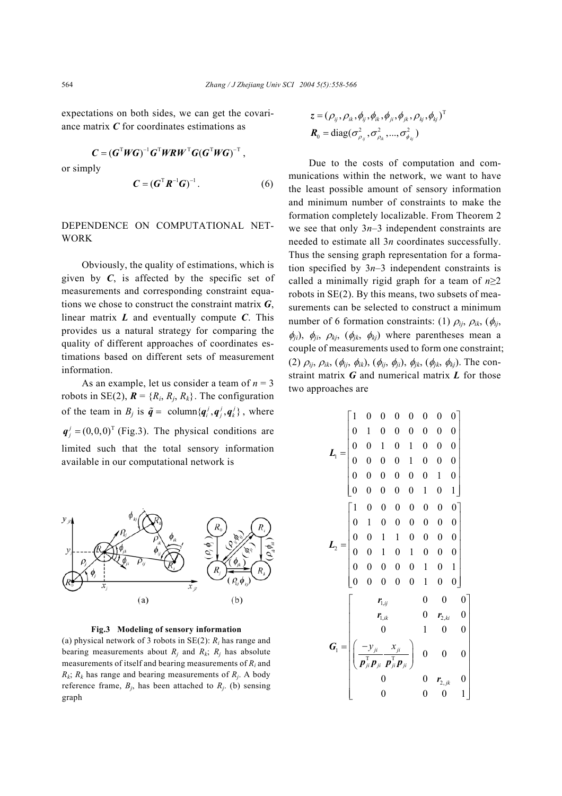expectations on both sides, we can get the covariance matrix *C* for coordinates estimations as

$$
C = (GTWG)-1GTWRWTG(GTWG)-T,
$$
  
or simply  

$$
C = (GTR-1G)-1.
$$
 (6)

# DEPENDENCE ON COMPUTATIONAL NET-**WORK**

Obviously, the quality of estimations, which is given by  $C$ , is affected by the specific set of measurements and corresponding constraint equations we chose to construct the constraint matrix *G*, linear matrix *L* and eventually compute *C*. This provides us a natural strategy for comparing the quality of different approaches of coordinates estimations based on different sets of measurement information.

As an example, let us consider a team of  $n = 3$ robots in SE(2),  $\mathbf{R} = \{R_i, R_j, R_k\}$ . The configuration of the team in  $B_j$  is  $\tilde{q} = \text{column}\lbrace q_i^j, q_j^j, q_k^j \rbrace$ , where  $q_i^j$  = (0,0,0)<sup>T</sup> (Fig.3). The physical conditions are limited such that the total sensory information available in our computational network is



**Fig.3 Modeling of sensory information**

(a) physical network of 3 robots in SE(2): *Ri* has range and bearing measurements about  $R_i$  and  $R_k$ ;  $R_j$  has absolute measurements of itself and bearing measurements of *Ri* and  $R_k$ ;  $R_k$  has range and bearing measurements of  $R_j$ . A body reference frame,  $B_i$ , has been attached to  $R_i$ . (b) sensing graph

$$
z = (\rho_{ij}, \rho_{ik}, \phi_{ij}, \phi_{ik}, \phi_{ji}, \phi_{jk}, \rho_{kj}, \phi_{kj})^{\mathrm{T}}
$$

$$
\boldsymbol{R}_{0} = \mathrm{diag}(\sigma_{\rho_{ij}}^{2}, \sigma_{\rho_{ik}}^{2}, ..., \sigma_{\phi_{kj}}^{2})
$$

Due to the costs of computation and communications within the network, we want to have the least possible amount of sensory information and minimum number of constraints to make the formation completely localizable. From Theorem 2 we see that only 3*n*–3 independent constraints are needed to estimate all 3*n* coordinates successfully. Thus the sensing graph representation for a formation specified by  $3n-3$  independent constraints is called a minimally rigid graph for a team of *n*≥2 robots in SE(2). By this means, two subsets of measurements can be selected to construct a minimum number of 6 formation constraints: (1)  $\rho_{ij}$ ,  $\rho_{ik}$ , ( $\phi_{ij}$ ,  $\phi_{ji}$ ,  $\phi_{ji}$ ,  $\rho_{kj}$ ,  $(\phi_{jk}, \phi_{kj})$  where parentheses mean a couple of measurements used to form one constraint; (2)  $\rho_{ij}$ ,  $\rho_{ik}$ , ( $\phi_{ij}$ ,  $\phi_{ik}$ ), ( $\phi_{ij}$ ,  $\phi_{ji}$ ),  $\phi_{jk}$ , ( $\phi_{jk}$ ,  $\phi_{kj}$ ). The constraint matrix *G* and numerical matrix *L* for those two approaches are

$$
L_{1} = \begin{bmatrix} 1 & 0 & 0 & 0 & 0 & 0 & 0 & 0 \\ 0 & 1 & 0 & 0 & 0 & 0 & 0 & 0 \\ 0 & 0 & 1 & 0 & 1 & 0 & 0 & 0 \\ 0 & 0 & 0 & 0 & 1 & 0 & 0 & 0 \\ 0 & 0 & 0 & 0 & 0 & 0 & 1 & 0 \\ 0 & 0 & 0 & 0 & 0 & 1 & 0 & 1 \end{bmatrix}
$$

$$
L_{2} = \begin{bmatrix} 1 & 0 & 0 & 0 & 0 & 0 & 0 & 0 \\ 0 & 1 & 0 & 0 & 0 & 0 & 0 & 0 \\ 0 & 0 & 1 & 1 & 0 & 0 & 0 & 0 \\ 0 & 0 & 1 & 0 & 1 & 0 & 0 & 0 \\ 0 & 0 & 0 & 0 & 0 & 1 & 0 & 1 \\ 0 & 0 & 0 & 0 & 0 & 1 & 0 & 0 \end{bmatrix}
$$

$$
G_{1} = \begin{bmatrix} r_{1,j} & 0 & 0 & 0 & 0 \\ r_{1,jk} & 0 & r_{2,ki} & 0 \\ 0 & 1 & 0 & 0 & 0 \\ 0 & 0 & 0 & 0 & 1 & 0 \\ 0 & 0 & 0 & 0 & 0 & 1 \end{bmatrix}
$$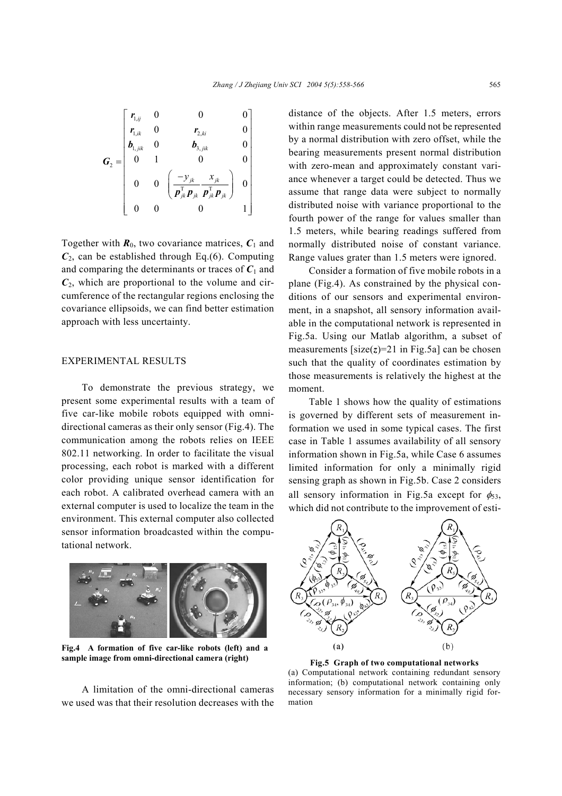$$
G_2 = \begin{bmatrix} r_{1,ij} & 0 & 0 & 0 \\ r_{1,ik} & 0 & r_{2,ki} & 0 \\ b_{1,jik} & 0 & b_{3,jik} & 0 \\ 0 & 1 & 0 & 0 \\ 0 & 0 & \left( \frac{-y_{jk}}{\boldsymbol{p}_{jk}^{\mathrm{T}} \boldsymbol{p}_{jk}} \frac{x_{jk}}{\boldsymbol{p}_{jk}^{\mathrm{T}} \boldsymbol{p}_{jk}} \right) & 0 \\ 0 & 0 & 0 & 1 \end{bmatrix}
$$

Together with  $\mathbf{R}_0$ , two covariance matrices,  $\mathbf{C}_1$  and  $C_2$ , can be established through Eq.(6). Computing and comparing the determinants or traces of  $C_1$  and  $C_2$ , which are proportional to the volume and circumference of the rectangular regions enclosing the covariance ellipsoids, we can find better estimation approach with less uncertainty.

# EXPERIMENTAL RESULTS

To demonstrate the previous strategy, we present some experimental results with a team of five car-like mobile robots equipped with omnidirectional cameras as their only sensor (Fig.4). The communication among the robots relies on IEEE 802.11 networking. In order to facilitate the visual processing, each robot is marked with a different color providing unique sensor identification for each robot. A calibrated overhead camera with an external computer is used to localize the team in the environment. This external computer also collected sensor information broadcasted within the computational network.



**Fig.4 A formation of five car-like robots (left) and a sample image from omni-directional camera (right) Fig.5 Graph of two computational networks** 

A limitation of the omni-directional cameras we used was that their resolution decreases with the distance of the objects. After 1.5 meters, errors within range measurements could not be represented by a normal distribution with zero offset, while the bearing measurements present normal distribution with zero-mean and approximately constant variance whenever a target could be detected. Thus we assume that range data were subject to normally distributed noise with variance proportional to the fourth power of the range for values smaller than 1.5 meters, while bearing readings suffered from normally distributed noise of constant variance. Range values grater than 1.5 meters were ignored.

Consider a formation of five mobile robots in a plane (Fig.4). As constrained by the physical conditions of our sensors and experimental environment, in a snapshot, all sensory information available in the computational network is represented in Fig.5a. Using our Matlab algorithm, a subset of measurements  $[size(z)=21$  in Fig.5a] can be chosen such that the quality of coordinates estimation by those measurements is relatively the highest at the moment.

Table 1 shows how the quality of estimations is governed by different sets of measurement information we used in some typical cases. The first case in Table 1 assumes availability of all sensory information shown in Fig.5a, while Case 6 assumes limited information for only a minimally rigid sensing graph as shown in Fig.5b. Case 2 considers all sensory information in Fig.5a except for  $\phi_{53}$ , which did not contribute to the improvement of esti-



(a) Computational network containing redundant sensory information; (b) computational network containing only necessary sensory information for a minimally rigid formation